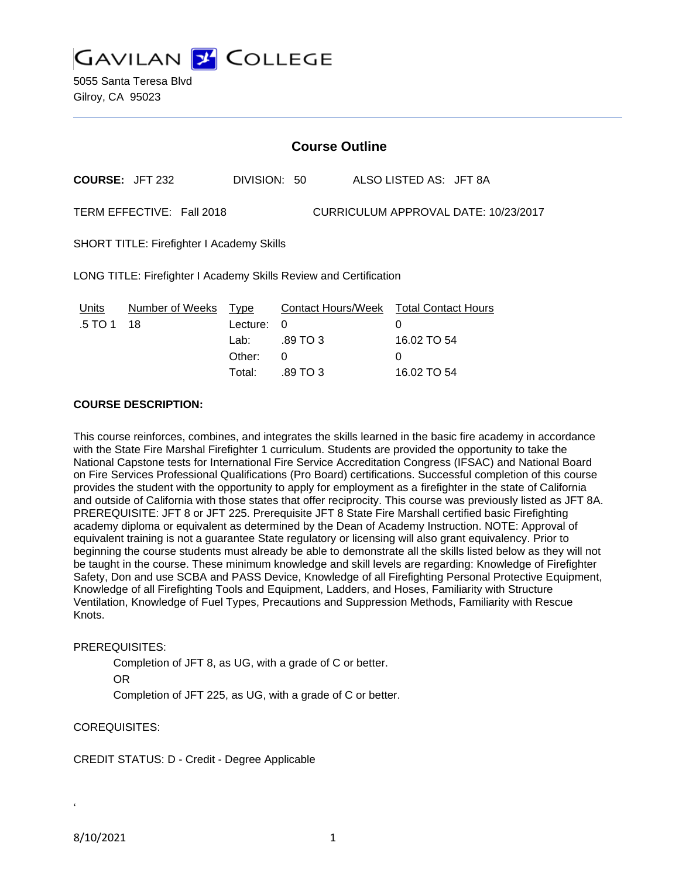**GAVILAN Y COLLEGE** 

### **Course Outline**

**COURSE:** JFT 232 DIVISION: 50 ALSO LISTED AS: JFT 8A

TERM EFFECTIVE: Fall 2018 CURRICULUM APPROVAL DATE: 10/23/2017

SHORT TITLE: Firefighter I Academy Skills

LONG TITLE: Firefighter I Academy Skills Review and Certification

| Units      | Number of Weeks Type |            | Contact Hours/Week Total Contact Hours |             |
|------------|----------------------|------------|----------------------------------------|-------------|
| .5 TO 1 18 |                      | Lecture: 0 |                                        |             |
|            |                      | Lab:       | .89 TO 3                               | 16.02 TO 54 |
|            |                      | Other:     | - 0                                    |             |
|            |                      | Total:     | .89 TO 3                               | 16.02 TO 54 |

#### **COURSE DESCRIPTION:**

This course reinforces, combines, and integrates the skills learned in the basic fire academy in accordance with the State Fire Marshal Firefighter 1 curriculum. Students are provided the opportunity to take the National Capstone tests for International Fire Service Accreditation Congress (IFSAC) and National Board on Fire Services Professional Qualifications (Pro Board) certifications. Successful completion of this course provides the student with the opportunity to apply for employment as a firefighter in the state of California and outside of California with those states that offer reciprocity. This course was previously listed as JFT 8A. PREREQUISITE: JFT 8 or JFT 225. Prerequisite JFT 8 State Fire Marshall certified basic Firefighting academy diploma or equivalent as determined by the Dean of Academy Instruction. NOTE: Approval of equivalent training is not a guarantee State regulatory or licensing will also grant equivalency. Prior to beginning the course students must already be able to demonstrate all the skills listed below as they will not be taught in the course. These minimum knowledge and skill levels are regarding: Knowledge of Firefighter Safety, Don and use SCBA and PASS Device, Knowledge of all Firefighting Personal Protective Equipment, Knowledge of all Firefighting Tools and Equipment, Ladders, and Hoses, Familiarity with Structure Ventilation, Knowledge of Fuel Types, Precautions and Suppression Methods, Familiarity with Rescue Knots.

#### PREREQUISITES:

Completion of JFT 8, as UG, with a grade of C or better.

OR

Completion of JFT 225, as UG, with a grade of C or better.

COREQUISITES:

CREDIT STATUS: D - Credit - Degree Applicable

8/10/2021 1

'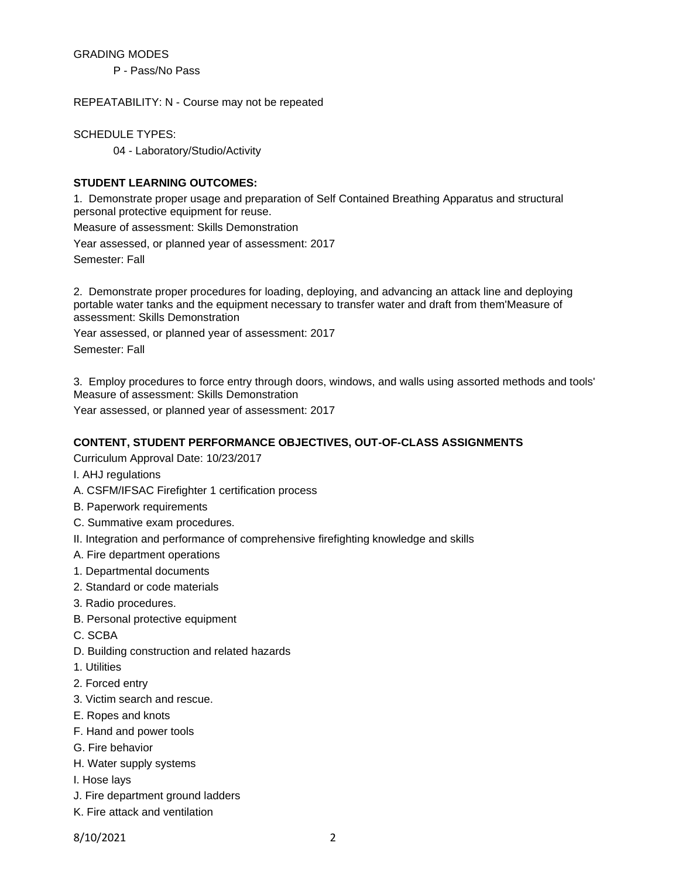#### GRADING MODES

P - Pass/No Pass

REPEATABILITY: N - Course may not be repeated

SCHEDULE TYPES:

04 - Laboratory/Studio/Activity

### **STUDENT LEARNING OUTCOMES:**

1. Demonstrate proper usage and preparation of Self Contained Breathing Apparatus and structural personal protective equipment for reuse.

Measure of assessment: Skills Demonstration

Year assessed, or planned year of assessment: 2017 Semester: Fall

2. Demonstrate proper procedures for loading, deploying, and advancing an attack line and deploying portable water tanks and the equipment necessary to transfer water and draft from them'Measure of assessment: Skills Demonstration

Year assessed, or planned year of assessment: 2017

Semester: Fall

3. Employ procedures to force entry through doors, windows, and walls using assorted methods and tools' Measure of assessment: Skills Demonstration

Year assessed, or planned year of assessment: 2017

### **CONTENT, STUDENT PERFORMANCE OBJECTIVES, OUT-OF-CLASS ASSIGNMENTS**

Curriculum Approval Date: 10/23/2017

I. AHJ regulations

- A. CSFM/IFSAC Firefighter 1 certification process
- B. Paperwork requirements
- C. Summative exam procedures.
- II. Integration and performance of comprehensive firefighting knowledge and skills
- A. Fire department operations
- 1. Departmental documents
- 2. Standard or code materials
- 3. Radio procedures.
- B. Personal protective equipment
- C. SCBA
- D. Building construction and related hazards
- 1. Utilities
- 2. Forced entry
- 3. Victim search and rescue.
- E. Ropes and knots
- F. Hand and power tools
- G. Fire behavior
- H. Water supply systems
- I. Hose lays
- J. Fire department ground ladders
- K. Fire attack and ventilation

8/10/2021 2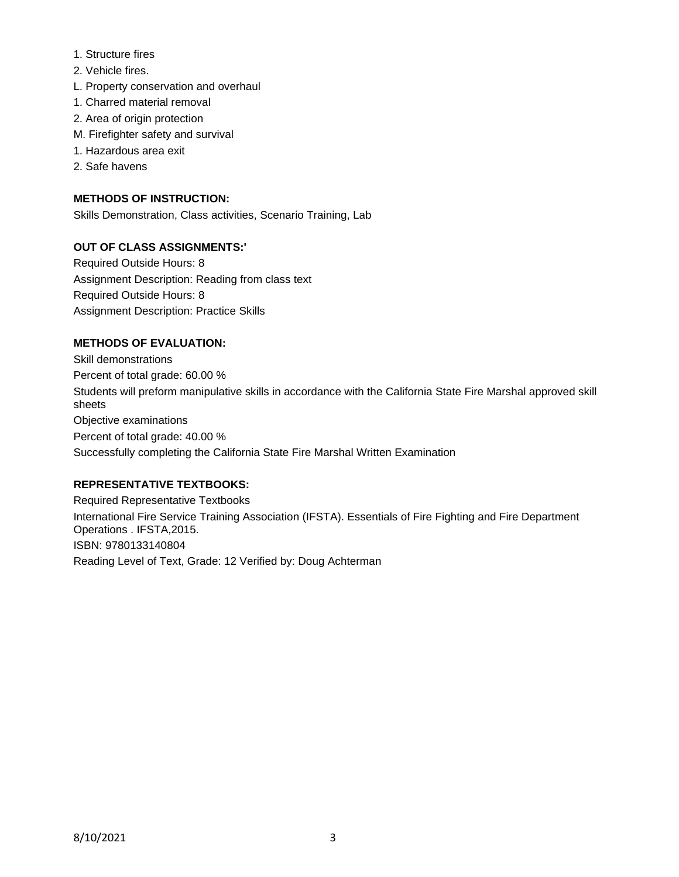- 1. Structure fires
- 2. Vehicle fires.
- L. Property conservation and overhaul
- 1. Charred material removal
- 2. Area of origin protection
- M. Firefighter safety and survival
- 1. Hazardous area exit
- 2. Safe havens

## **METHODS OF INSTRUCTION:**

Skills Demonstration, Class activities, Scenario Training, Lab

## **OUT OF CLASS ASSIGNMENTS:'**

Required Outside Hours: 8 Assignment Description: Reading from class text Required Outside Hours: 8 Assignment Description: Practice Skills

## **METHODS OF EVALUATION:**

Skill demonstrations Percent of total grade: 60.00 % Students will preform manipulative skills in accordance with the California State Fire Marshal approved skill sheets Objective examinations Percent of total grade: 40.00 % Successfully completing the California State Fire Marshal Written Examination

# **REPRESENTATIVE TEXTBOOKS:**

Required Representative Textbooks International Fire Service Training Association (IFSTA). Essentials of Fire Fighting and Fire Department Operations . IFSTA,2015. ISBN: 9780133140804 Reading Level of Text, Grade: 12 Verified by: Doug Achterman